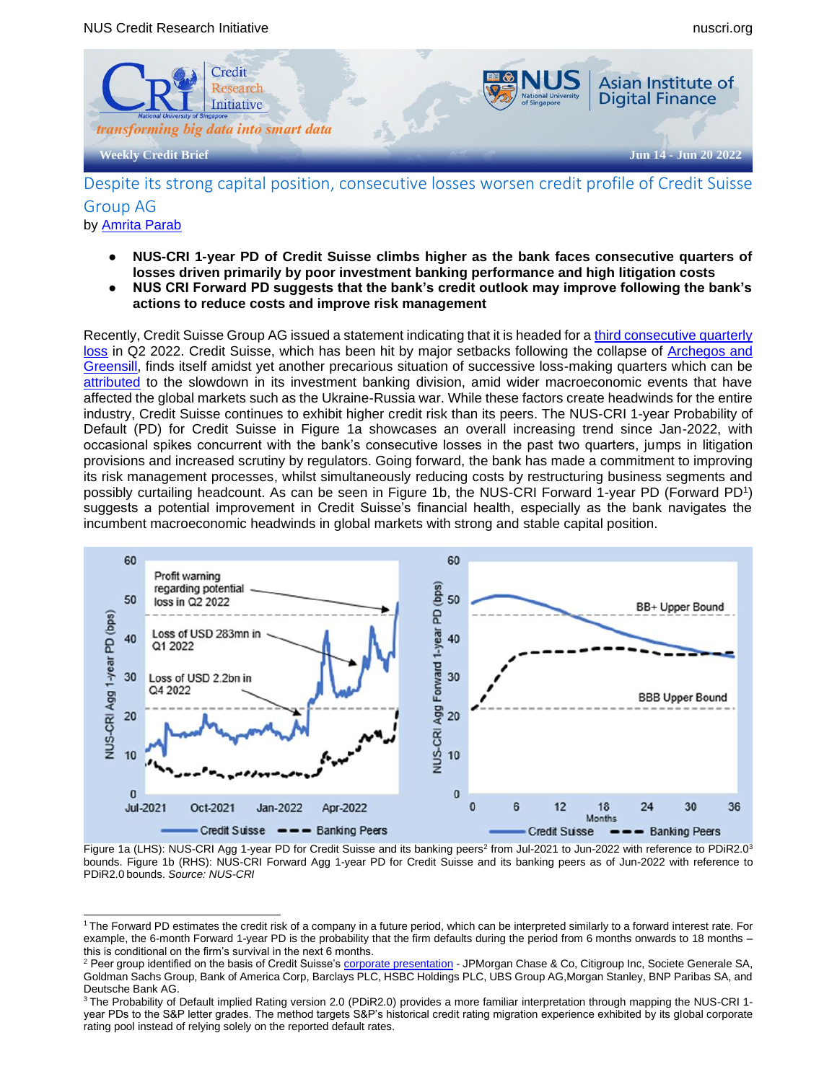

# Despite its strong capital position, consecutive losses worsen credit profile of Credit Suisse Group AG

- by [Amrita Parab](mailto:amrita.p@nus.edu.sg)
	- **NUS-CRI 1-year PD of Credit Suisse climbs higher as the bank faces consecutive quarters of losses driven primarily by poor investment banking performance and high litigation costs**
	- **● NUS CRI Forward PD suggests that the bank's credit outlook may improve following the bank's actions to reduce costs and improve risk management**

Recently, Credit Suisse Group AG issued a statement indicating that it is headed for a [third consecutive quarterly](https://www.bloomberg.com/news/articles/2022-06-08/credit-suisse-sees-group-investment-bank-loss-in-second-quarter)  [loss](https://www.bloomberg.com/news/articles/2022-06-08/credit-suisse-sees-group-investment-bank-loss-in-second-quarter) in Q2 2022. Credit Suisse, which has been hit by major setbacks following the collapse of [Archegos and](https://www.fnlondon.com/articles/credit-suisses-year-to-forget-archegos-greensill-and-the-boss-skipping-quarantine-20211231)  [Greensill,](https://www.fnlondon.com/articles/credit-suisses-year-to-forget-archegos-greensill-and-the-boss-skipping-quarantine-20211231) finds itself amidst yet another precarious situation of successive loss-making quarters which can be [attributed](https://www.wsj.com/articles/credit-suisse-warns-another-quarterly-loss-is-likely-11654667366) to the slowdown in its investment banking division, amid wider macroeconomic events that have affected the global markets such as the Ukraine-Russia war. While these factors create headwinds for the entire industry, Credit Suisse continues to exhibit higher credit risk than its peers. The NUS-CRI 1-year Probability of Default (PD) for Credit Suisse in Figure 1a showcases an overall increasing trend since Jan-2022, with occasional spikes concurrent with the bank's consecutive losses in the past two quarters, jumps in litigation provisions and increased scrutiny by regulators. Going forward, the bank has made a commitment to improving its risk management processes, whilst simultaneously reducing costs by restructuring business segments and possibly curtailing headcount. As can be seen in Figure 1b, the NUS-CRI Forward 1-year PD (Forward PD1) suggests a potential improvement in Credit Suisse's financial health, especially as the bank navigates the incumbent macroeconomic headwinds in global markets with strong and stable capital position.



Figure 1a (LHS): NUS-CRI Agg 1-year PD for Credit Suisse and its banking peers<sup>2</sup> from Jul-2021 to Jun-2022 with reference to PDiR2.0<sup>3</sup> bounds. Figure 1b (RHS): NUS-CRI Forward Agg 1-year PD for Credit Suisse and its banking peers as of Jun-2022 with reference to PDiR2.0 bounds. *Source: NUS-CRI*

<sup>1</sup> The Forward PD estimates the credit risk of a company in a future period, which can be interpreted similarly to a forward interest rate. For example, the 6-month Forward 1-year PD is the probability that the firm defaults during the period from 6 months onwards to 18 months – this is conditional on the firm's survival in the next 6 months.

<sup>&</sup>lt;sup>2</sup> Peer group identified on the basis of Credit Suisse'[s corporate presentation](https://www.credit-suisse.com/about-us/en/events/presentations.html) - JPMorgan Chase & Co, Citigroup Inc, Societe Generale SA, Goldman Sachs Group, Bank of America Corp, Barclays PLC, HSBC Holdings PLC, UBS Group AG,Morgan Stanley, BNP Paribas SA, and Deutsche Bank AG.

<sup>&</sup>lt;sup>3</sup> The Probability of Default implied Rating version 2.0 (PDiR2.0) provides a more familiar interpretation through mapping the NUS-CRI 1year PDs to the S&P letter grades. The method targets S&P's historical credit rating migration experience exhibited by its global corporate rating pool instead of relying solely on the reported default rates.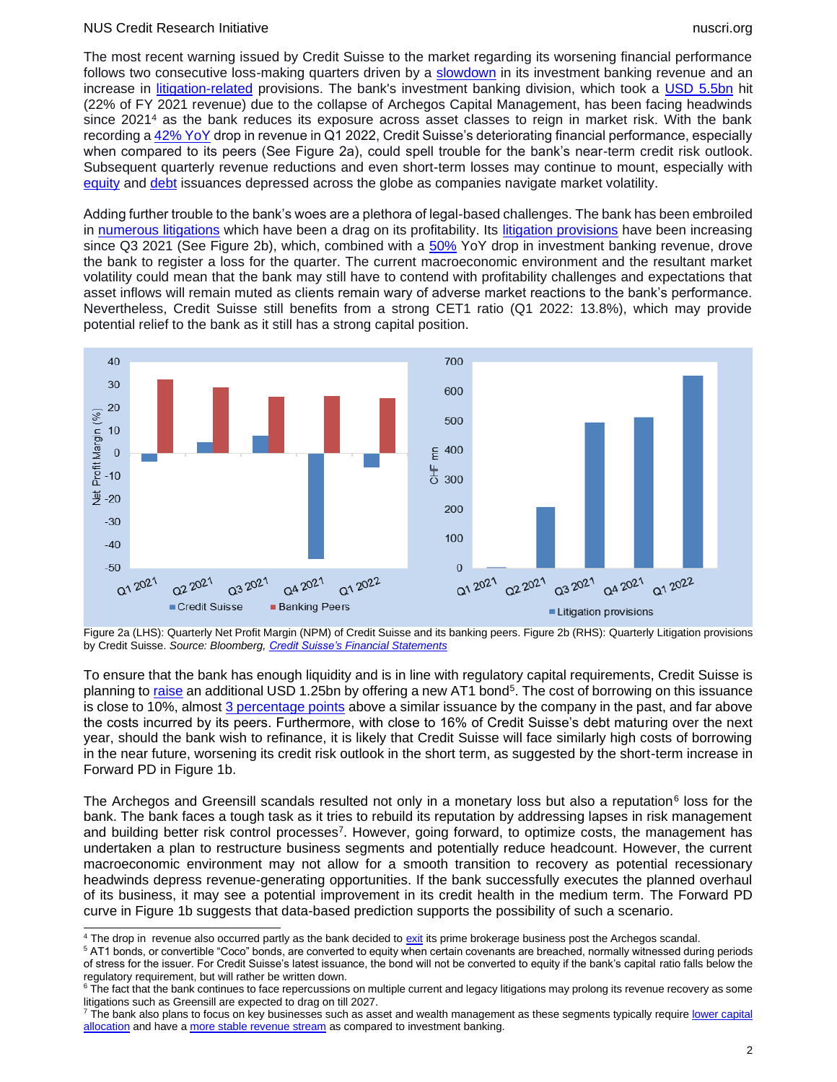#### NUS Credit Research Initiative nuscri.org nuscri.org nuscri.org nuscri.org nuscri.org nuscri.org nuscri.org nuscri

The most recent warning issued by Credit Suisse to the market regarding its worsening financial performance follows two consecutive loss-making quarters driven by a [slowdown](https://www.ft.com/content/83206826-ba9f-48df-af4e-f590ef2de683) in its investment banking revenue and an increase in [litigation-related](https://www.ft.com/content/71912244-17e7-4e0a-9df5-cc270044f70a) provisions. The bank's investment banking division, which took a [USD 5.5bn](https://www.wsj.com/articles/credit-suisses-5-5-billion-archegos-hit-enters-big-league-of-bank-losses-11619256601) hit (22% of FY 2021 revenue) due to the collapse of Archegos Capital Management, has been facing headwinds since 2021<sup>4</sup> as the bank reduces its exposure across asset classes to reign in market risk. With the bank recording a [42% YoY](https://www.credit-suisse.com/about-us-news/en/articles/media-releases/1q22-press-release-202204.html#:~:text=Credit%20Suisse%20reports%20net%20revenues,ratio%20of%2013.8%25%20in%201Q22) drop in revenue in Q1 2022, Credit Suisse's deteriorating financial performance, especially when compared to its peers (See Figure 2a), could spell trouble for the bank's near-term credit risk outlook. Subsequent quarterly revenue reductions and even short-term losses may continue to mount, especially with [equity](https://www.refinitiv.com/perspectives/market-insights/equity-issuance-falls-in-q1-as-investors-shun-risk/) and [debt](https://www.reuters.com/markets/us/us-corporate-bond-deals-ebb-this-year-amid-higher-rates-volatility-bofa-2022-05-17/) issuances depressed across the globe as companies navigate market volatility.

Adding further trouble to the bank's woes are a plethora of legal-based challenges. The bank has been embroiled in [numerous litigations](https://www.bloomberg.com/news/articles/2022-04-27/credit-suisse-s-legal-bills-keep-growing-with-no-end-in-sight) which have been a drag on its profitability. Its [litigation provisions](https://www.ft.com/content/71912244-17e7-4e0a-9df5-cc270044f70a) have been increasing since Q3 2021 (See Figure 2b), which, combined with a [50%](https://www.fnlondon.com/articles/credit-suisse-reveals-284m-loss-as-investment-bank-tumbles-20220427#:~:text=Credit%20Suisse%20unveiled%20a%20loss,was%20worse%20than%20the%20CHF114.) YoY drop in investment banking revenue, drove the bank to register a loss for the quarter. The current macroeconomic environment and the resultant market volatility could mean that the bank may still have to contend with profitability challenges and expectations that asset inflows will remain muted as clients remain wary of adverse market reactions to the bank's performance. Nevertheless, Credit Suisse still benefits from a strong CET1 ratio (Q1 2022: 13.8%), which may provide potential relief to the bank as it still has a strong capital position.



Figure 2a (LHS): Quarterly Net Profit Margin (NPM) of Credit Suisse and its banking peers. Figure 2b (RHS): Quarterly Litigation provisions by Credit Suisse. *Source: Bloomberg, [Credit Suisse's Financial Statements](https://www.credit-suisse.com/about-us/en/events/presentations.html)*

To ensure that the bank has enough liquidity and is in line with regulatory capital requirements, Credit Suisse is planning to <u>raise</u> an additional USD 1.25bn by offering a new AT1 bond<sup>5</sup>. The cost of borrowing on this issuance is close to 10%, almost [3 percentage points](https://www.ft.com/content/7ff9ccba-1384-48d3-90f1-ee6b96288ade) above a similar issuance by the company in the past, and far above the costs incurred by its peers. Furthermore, with close to 16% of Credit Suisse's debt maturing over the next year, should the bank wish to refinance, it is likely that Credit Suisse will face similarly high costs of borrowing in the near future, worsening its credit risk outlook in the short term, as suggested by the short-term increase in Forward PD in Figure 1b.

The Archegos and Greensill scandals resulted not only in a monetary loss but also a reputation<sup>6</sup> loss for the bank. The bank faces a tough task as it tries to rebuild its reputation by addressing lapses in risk management and building better risk control processes<sup>7</sup> . However, going forward, to optimize costs, the management has undertaken a plan to restructure business segments and potentially reduce headcount. However, the current macroeconomic environment may not allow for a smooth transition to recovery as potential recessionary headwinds depress revenue-generating opportunities. If the bank successfully executes the planned overhaul of its business, it may see a potential improvement in its credit health in the medium term. The Forward PD curve in Figure 1b suggests that data-based prediction supports the possibility of such a scenario.

<sup>&</sup>lt;sup>4</sup> The drop in revenue also occurred partly as the bank decided to [exit](https://www.bloomberg.com/news/articles/2021-11-04/credit-suisse-to-shrink-investment-bank-in-wealth-led-overhaul) its prime brokerage business post the Archegos scandal.

<sup>&</sup>lt;sup>5</sup> AT1 bonds, or convertible "Coco" bonds, are converted to equity when certain covenants are breached, normally witnessed during periods of stress for the issuer. For Credit Suisse's latest issuance, the bond will not be converted to equity if the bank's capital ratio falls below the regulatory requirement, but will rather be written down.

 $6$  The fact that the bank continues to face repercussions on multiple current and legacy litigations may prolong its revenue recovery as some litigations such as Greensill are expected to drag on till 2027.

<sup>&</sup>lt;sup>7</sup> The bank also plans to focus on key businesses such as asset and wealth management as these segments typically require lower capital [allocation](https://www.institutionalinvestor.com/article/b14z9tzd0l4dcs/ceo-change-at-credit-suisse-signals-shift-to-wealth-management) and have a [more stable revenue stream](https://www.institutionalinvestor.com/article/b14z9tzd0l4dcs/ceo-change-at-credit-suisse-signals-shift-to-wealth-management) as compared to investment banking.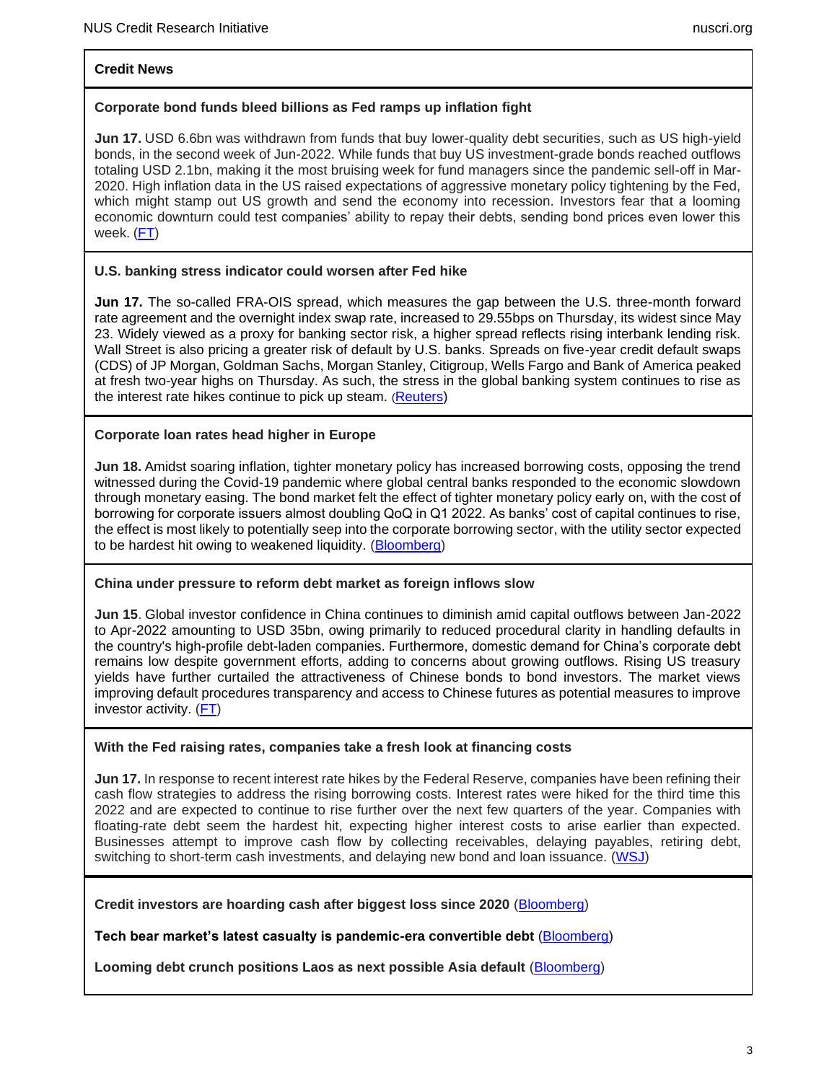### **Credit News**

### **Corporate bond funds bleed billions as Fed ramps up inflation fight**

**Jun 17.** USD 6.6bn was withdrawn from funds that buy lower-quality debt securities, such as US high-yield bonds, in the second week of Jun-2022. While funds that buy US investment-grade bonds reached outflows totaling USD 2.1bn, making it the most bruising week for fund managers since the pandemic sell-off in Mar-2020. High inflation data in the US raised expectations of aggressive monetary policy tightening by the Fed, which might stamp out US growth and send the economy into recession. Investors fear that a looming economic downturn could test companies' ability to repay their debts, sending bond prices even lower this week. [\(FT\)](https://www.ft.com/content/79ddfe64-0dcf-4abf-a7e9-05ded68929d5)

# **U.S. banking stress indicator could worsen after Fed hike**

**Jun 17.** The so-called FRA-OIS spread, which measures the gap between the U.S. three-month forward rate agreement and the overnight index swap rate, increased to 29.55bps on Thursday, its widest since May 23. Widely viewed as a proxy for banking sector risk, a higher spread reflects rising interbank lending risk. Wall Street is also pricing a greater risk of default by U.S. banks. Spreads on five-year credit default swaps (CDS) of JP Morgan, Goldman Sachs, Morgan Stanley, Citigroup, Wells Fargo and Bank of America peaked at fresh two-year highs on Thursday. As such, the stress in the global banking system continues to rise as the interest rate hikes continue to pick up steam. ([Reuters\)](https://www.reuters.com/markets/us/us-banking-stress-indicator-could-worsen-after-fed-hike-2022-06-16/)

# **Corporate loan rates head higher in Europe**

**Jun 18.** Amidst soaring inflation, tighter monetary policy has increased borrowing costs, opposing the trend witnessed during the Covid-19 pandemic where global central banks responded to the economic slowdown through monetary easing. The bond market felt the effect of tighter monetary policy early on, with the cost of borrowing for corporate issuers almost doubling QoQ in Q1 2022. As banks' cost of capital continues to rise, the effect is most likely to potentially seep into the corporate borrowing sector, with the utility sector expected to be hardest hit owing to weakened liquidity. [\(Bloomberg\)](https://www.bloomberg.com/news/articles/2022-06-18/corporate-loan-rates-head-higher-in-europe-as-inflation-bites)

#### **China under pressure to reform debt market as foreign inflows slow**

**Jun 15**. Global investor confidence in China continues to diminish amid capital outflows between Jan-2022 to Apr-2022 amounting to USD 35bn, owing primarily to reduced procedural clarity in handling defaults in the country's high-profile debt-laden companies. Furthermore, domestic demand for China's corporate debt remains low despite government efforts, adding to concerns about growing outflows. Rising US treasury yields have further curtailed the attractiveness of Chinese bonds to bond investors. The market views improving default procedures transparency and access to Chinese futures as potential measures to improve investor activity. [\(FT\)](https://www.ft.com/content/879bbed4-4d1b-4223-b01e-d027461fc891)

#### **With the Fed raising rates, companies take a fresh look at financing costs**

**Jun 17.** In response to recent interest rate hikes by the Federal Reserve, companies have been refining their cash flow strategies to address the rising borrowing costs. Interest rates were hiked for the third time this 2022 and are expected to continue to rise further over the next few quarters of the year. Companies with floating-rate debt seem the hardest hit, expecting higher interest costs to arise earlier than expected. Businesses attempt to improve cash flow by collecting receivables, delaying payables, retiring debt, switching to short-term cash investments, and delaying new bond and loan issuance. [\(WSJ\)](https://www.wsj.com/articles/with-the-fed-raising-rates-companies-take-a-fresh-look-at-financing-costs-11655458201?mod=Searchresults_pos14&page=1)

**Credit investors are hoarding cash after biggest loss since 2020** [\(Bloomberg\)](https://www.bloomberg.com/news/articles/2022-06-17/credit-investors-are-hoarding-cash-after-biggest-loss-since-2020)

**Tech bear market's latest casualty is pandemic-era convertible debt** [\(Bloomberg](https://www.bloomberg.com/news/articles/2022-06-16/tech-bear-market-hammers-pandemic-era-debt-to-distressed-levels)[\)](https://www.wsj.com/articles/10-year-treasury-yield-dips-below-1-5-11623256393)

Looming debt crunch positions Laos as next possible Asia default [\(Bloomberg\)](https://www.bloomberg.com/news/articles/2022-06-14/looming-debt-crunch-positions-laos-as-next-possible-asia-default)